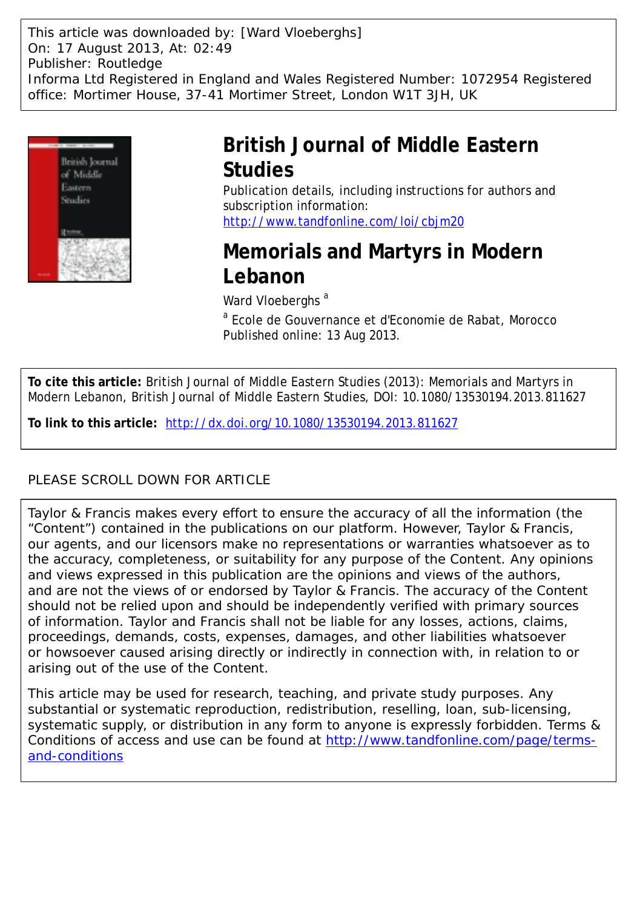This article was downloaded by: [Ward Vloeberghs] On: 17 August 2013, At: 02:49 Publisher: Routledge Informa Ltd Registered in England and Wales Registered Number: 1072954 Registered office: Mortimer House, 37-41 Mortimer Street, London W1T 3JH, UK



## **British Journal of Middle Eastern Studies**

Publication details, including instructions for authors and subscription information: <http://www.tandfonline.com/loi/cbjm20>

# **Memorials and Martyrs in Modern Lebanon**

Ward Vloeberghs<sup>a</sup>

<sup>a</sup> Ecole de Gouvernance et d'Economie de Rabat, Morocco Published online: 13 Aug 2013.

**To cite this article:** British Journal of Middle Eastern Studies (2013): Memorials and Martyrs in Modern Lebanon, British Journal of Middle Eastern Studies, DOI: 10.1080/13530194.2013.811627

**To link to this article:** <http://dx.doi.org/10.1080/13530194.2013.811627>

#### PLEASE SCROLL DOWN FOR ARTICLE

Taylor & Francis makes every effort to ensure the accuracy of all the information (the "Content") contained in the publications on our platform. However, Taylor & Francis, our agents, and our licensors make no representations or warranties whatsoever as to the accuracy, completeness, or suitability for any purpose of the Content. Any opinions and views expressed in this publication are the opinions and views of the authors, and are not the views of or endorsed by Taylor & Francis. The accuracy of the Content should not be relied upon and should be independently verified with primary sources of information. Taylor and Francis shall not be liable for any losses, actions, claims, proceedings, demands, costs, expenses, damages, and other liabilities whatsoever or howsoever caused arising directly or indirectly in connection with, in relation to or arising out of the use of the Content.

This article may be used for research, teaching, and private study purposes. Any substantial or systematic reproduction, redistribution, reselling, loan, sub-licensing, systematic supply, or distribution in any form to anyone is expressly forbidden. Terms & Conditions of access and use can be found at [http://www.tandfonline.com/page/terms](http://www.tandfonline.com/page/terms-and-conditions)[and-conditions](http://www.tandfonline.com/page/terms-and-conditions)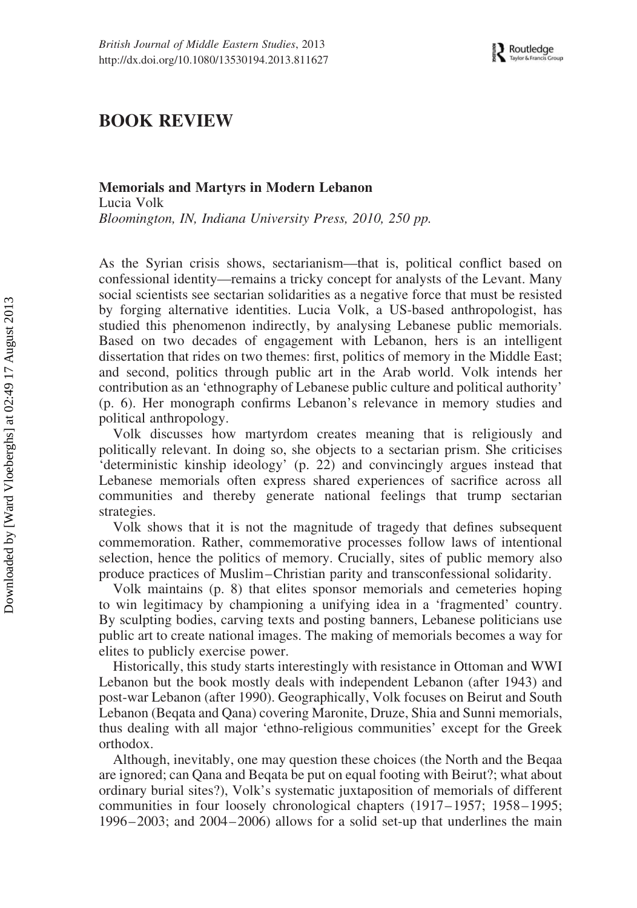### BOOK REVIEW

#### Memorials and Martyrs in Modern Lebanon Lucia Volk Bloomington, IN, Indiana University Press, 2010, 250 pp.

As the Syrian crisis shows, sectarianism—that is, political conflict based on confessional identity—remains a tricky concept for analysts of the Levant. Many social scientists see sectarian solidarities as a negative force that must be resisted by forging alternative identities. Lucia Volk, a US-based anthropologist, has studied this phenomenon indirectly, by analysing Lebanese public memorials. Based on two decades of engagement with Lebanon, hers is an intelligent dissertation that rides on two themes: first, politics of memory in the Middle East; and second, politics through public art in the Arab world. Volk intends her contribution as an 'ethnography of Lebanese public culture and political authority' (p. 6). Her monograph confirms Lebanon's relevance in memory studies and political anthropology.

Volk discusses how martyrdom creates meaning that is religiously and politically relevant. In doing so, she objects to a sectarian prism. She criticises 'deterministic kinship ideology' (p. 22) and convincingly argues instead that Lebanese memorials often express shared experiences of sacrifice across all communities and thereby generate national feelings that trump sectarian strategies.

Volk shows that it is not the magnitude of tragedy that defines subsequent commemoration. Rather, commemorative processes follow laws of intentional selection, hence the politics of memory. Crucially, sites of public memory also produce practices of Muslim–Christian parity and transconfessional solidarity.

Volk maintains (p. 8) that elites sponsor memorials and cemeteries hoping to win legitimacy by championing a unifying idea in a 'fragmented' country. By sculpting bodies, carving texts and posting banners, Lebanese politicians use public art to create national images. The making of memorials becomes a way for elites to publicly exercise power.

Historically, this study starts interestingly with resistance in Ottoman and WWI Lebanon but the book mostly deals with independent Lebanon (after 1943) and post-war Lebanon (after 1990). Geographically, Volk focuses on Beirut and South Lebanon (Beqata and Qana) covering Maronite, Druze, Shia and Sunni memorials, thus dealing with all major 'ethno-religious communities' except for the Greek orthodox.

Although, inevitably, one may question these choices (the North and the Beqaa are ignored; can Qana and Beqata be put on equal footing with Beirut?; what about ordinary burial sites?), Volk's systematic juxtaposition of memorials of different communities in four loosely chronological chapters (1917– 1957; 1958– 1995; 1996– 2003; and 2004– 2006) allows for a solid set-up that underlines the main